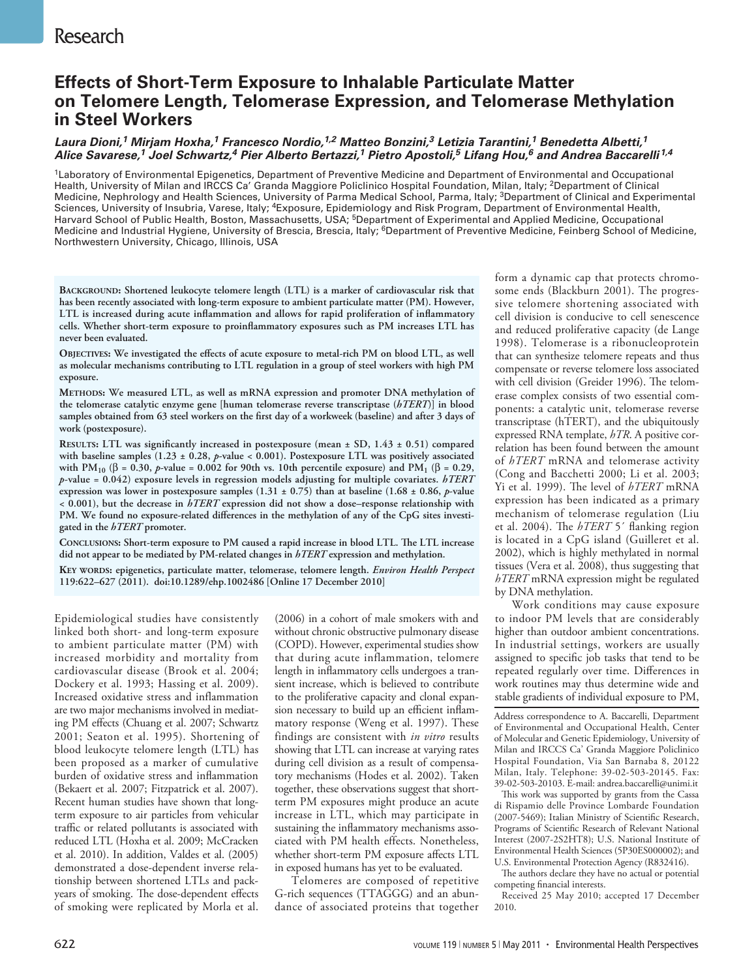# **Research**

## **Effects of Short-Term Exposure to Inhalable Particulate Matter on Telomere Length, Telomerase Expression, and Telomerase Methylation in Steel Workers**

### *Laura Dioni,1 Mirjam Hoxha,1 Francesco Nordio,1,2 Matteo Bonzini,3 Letizia Tarantini,1 Benedetta Albetti,1 Alice Savarese,1 Joel Schwartz,4 Pier Alberto Bertazzi,1 Pietro Apostoli,5 Lifang Hou,6 and Andrea Baccarelli 1,4*

1Laboratory of Environmental Epigenetics, Department of Preventive Medicine and Department of Environmental and Occupational Health, University of Milan and IRCCS Ca' Granda Maggiore Policlinico Hospital Foundation, Milan, Italy; 2Department of Clinical Medicine, Nephrology and Health Sciences, University of Parma Medical School, Parma, Italy; 3Department of Clinical and Experimental Sciences, University of Insubria, Varese, Italy; <sup>4</sup>Exposure, Epidemiology and Risk Program, Department of Environmental Health, Harvard School of Public Health, Boston, Massachusetts, USA; 5Department of Experimental and Applied Medicine, Occupational Medicine and Industrial Hygiene, University of Brescia, Brescia, Italy; <sup>6</sup>Department of Preventive Medicine, Feinberg School of Medicine, Northwestern University, Chicago, Illinois, USA

**Background: Shortened leukocyte telomere length (LTL) is a marker of cardiovascular risk that has been recently associated with long-term exposure to ambient particulate matter (PM). However, LTL is increased during acute inflammation and allows for rapid proliferation of inflammatory cells. Whether short-term exposure to proinflammatory exposures such as PM increases LTL has never been evaluated.**

**Objectives: We investigated the effects of acute exposure to metal-rich PM on blood LTL, as well as molecular mechanisms contributing to LTL regulation in a group of steel workers with high PM exposure.**

**Methods: We measured LTL, as well as mRNA expression and promoter DNA methylation of the telomerase catalytic enzyme gene [human telomerase reverse transcriptase (***hTERT***)] in blood samples obtained from 63 steel workers on the first day of a workweek (baseline) and after 3 days of work (postexposure).**

**Results: LTL was significantly increased in postexposure (mean ± SD, 1.43 ± 0.51) compared with baseline samples (1.23 ± 0.28,** *p***-value < 0.001). Postexposure LTL was positively associated with PM10 (**β **= 0.30,** *p***-value = 0.002 for 90th vs. 10th percentile exposure) and PM1 (**β **= 0.29,**  *p***-value = 0.042) exposure levels in regression models adjusting for multiple covariates.** *hTERT* **expression was lower in postexposure samples (1.31 ± 0.75) than at baseline (1.68 ± 0.86,** *p***-value < 0.001), but the decrease in** *hTERT* **expression did not show a dose–response relationship with PM. We found no exposure-related differences in the methylation of any of the CpG sites investigated in the** *hTERT* **promoter.** 

**Conclusions: Short-term exposure to PM caused a rapid increase in blood LTL. The LTL increase did not appear to be mediated by PM-related changes in** *hTERT* **expression and methylation.**

**Key words: epigenetics, particulate matter, telomerase, telomere length.** *Environ Health Perspect* **119:622–627 (2011). doi:10.1289/ehp.1002486 [Online 17 December 2010]**

Epidemiological studies have consistently linked both short- and long-term exposure to ambient particulate matter (PM) with increased morbidity and mortality from cardiovascular disease (Brook et al. 2004; Dockery et al. 1993; Hassing et al. 2009). Increased oxidative stress and inflammation are two major mechanisms involved in mediating PM effects (Chuang et al. 2007; Schwartz 2001; Seaton et al. 1995). Shortening of blood leukocyte telomere length (LTL) has been proposed as a marker of cumulative burden of oxidative stress and inflammation (Bekaert et al. 2007; Fitzpatrick et al. 2007). Recent human studies have shown that longterm exposure to air particles from vehicular traffic or related pollutants is associated with reduced LTL (Hoxha et al. 2009; McCracken et al. 2010). In addition, Valdes et al. (2005) demonstrated a dose-dependent inverse relationship between shortened LTLs and packyears of smoking. The dose-dependent effects of smoking were replicated by Morla et al.

(2006) in a cohort of male smokers with and without chronic obstructive pulmonary disease (COPD). However, experimental studies show that during acute inflammation, telomere length in inflammatory cells undergoes a transient increase, which is believed to contribute to the proliferative capacity and clonal expansion necessary to build up an efficient inflammatory response (Weng et al. 1997). These findings are consistent with *in vitro* results showing that LTL can increase at varying rates during cell division as a result of compensatory mechanisms (Hodes et al. 2002). Taken together, these observations suggest that shortterm PM exposures might produce an acute increase in LTL, which may participate in sustaining the inflammatory mechanisms associated with PM health effects. Nonetheless, whether short-term PM exposure affects LTL in exposed humans has yet to be evaluated.

Telomeres are composed of repetitive G-rich sequences (TTAGGG) and an abundance of associated proteins that together

form a dynamic cap that protects chromosome ends (Blackburn 2001). The progressive telomere shortening associated with cell division is conducive to cell senescence and reduced proliferative capacity (de Lange 1998). Telomerase is a ribonucleoprotein that can synthesize telomere repeats and thus compensate or reverse telomere loss associated with cell division (Greider 1996). The telomerase complex consists of two essential components: a catalytic unit, telomerase reverse transcriptase (hTERT), and the ubiquitously expressed RNA template, *hTR*. A positive correlation has been found between the amount of *hTERT* mRNA and telomerase activity (Cong and Bacchetti 2000; Li et al. 2003; Yi et al. 1999). The level of *hTERT* mRNA expression has been indicated as a primary mechanism of telomerase regulation (Liu et al. 2004). The *hTERT* 5´ flanking region is located in a CpG island (Guilleret et al. 2002), which is highly methylated in normal tissues (Vera et al. 2008), thus suggesting that *hTERT* mRNA expression might be regulated by DNA methylation.

Work conditions may cause exposure to indoor PM levels that are considerably higher than outdoor ambient concentrations. In industrial settings, workers are usually assigned to specific job tasks that tend to be repeated regularly over time. Differences in work routines may thus determine wide and stable gradients of individual exposure to PM,

Address correspondence to A. Baccarelli, Department of Environmental and Occupational Health, Center of Molecular and Genetic Epidemiology, University of Milan and IRCCS Ca' Granda Maggiore Policlinico Hospital Foundation, Via San Barnaba 8, 20122 Milan, Italy. Telephone: 39-02-503-20145. Fax: 39-02-503-20103. E-mail: andrea.baccarelli@unimi.it

This work was supported by grants from the Cassa di Rispamio delle Province Lombarde Foundation (2007-5469); Italian Ministry of Scientific Research, Programs of Scientific Research of Relevant National Interest (2007-2S2HT8); U.S. National Institute of Environmental Health Sciences (5P30ES000002); and U.S. Environmental Protection Agency (R832416).

The authors declare they have no actual or potential competing financial interests.

Received 25 May 2010; accepted 17 December 2010.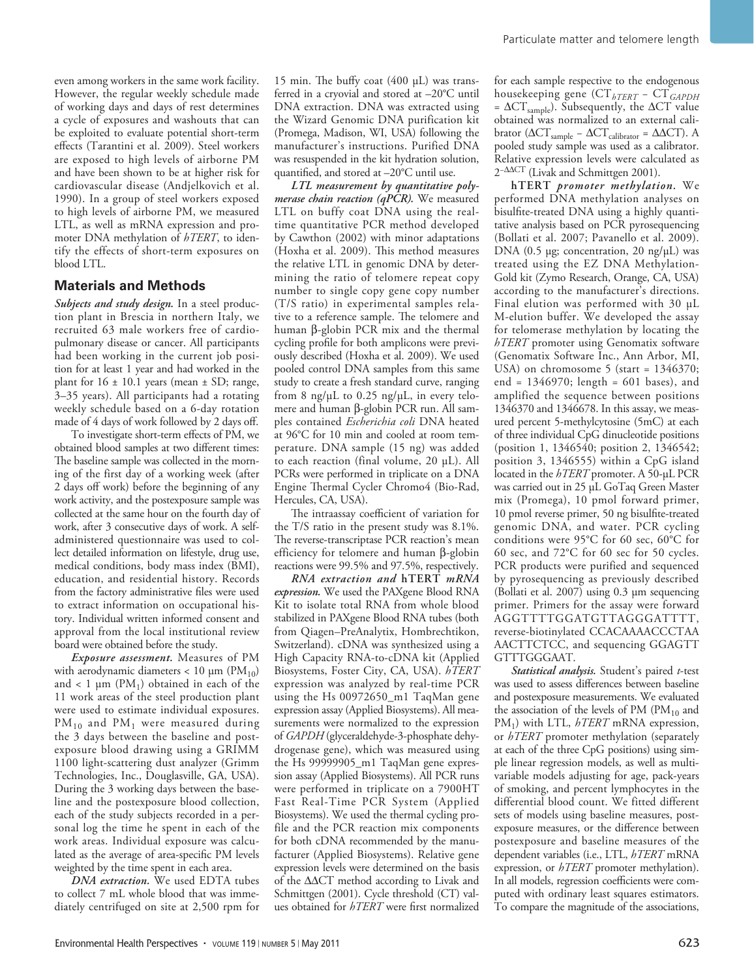even among workers in the same work facility. However, the regular weekly schedule made of working days and days of rest determines a cycle of exposures and washouts that can be exploited to evaluate potential short-term effects (Tarantini et al. 2009). Steel workers are exposed to high levels of airborne PM and have been shown to be at higher risk for cardiovascular disease (Andjelkovich et al. 1990). In a group of steel workers exposed to high levels of airborne PM, we measured LTL, as well as mRNA expression and promoter DNA methylation of *hTERT*, to identify the effects of short-term exposures on blood LTL.

#### **Materials and Methods**

*Subjects and study design.* In a steel production plant in Brescia in northern Italy, we recruited 63 male workers free of cardiopulmonary disease or cancer. All participants had been working in the current job position for at least 1 year and had worked in the plant for  $16 \pm 10.1$  years (mean  $\pm$  SD; range, 3–35 years). All participants had a rotating weekly schedule based on a 6-day rotation made of 4 days of work followed by 2 days off.

To investigate short-term effects of PM, we obtained blood samples at two different times: The baseline sample was collected in the morning of the first day of a working week (after 2 days off work) before the beginning of any work activity, and the postexposure sample was collected at the same hour on the fourth day of work, after 3 consecutive days of work. A selfadministered questionnaire was used to collect detailed information on lifestyle, drug use, medical conditions, body mass index (BMI), education, and residential history. Records from the factory administrative files were used to extract information on occupational history. Individual written informed consent and approval from the local institutional review board were obtained before the study.

*Exposure assessment.* Measures of PM with aerodynamic diameters  $< 10 \mu m$  (PM<sub>10</sub>) and  $< 1 \mu m$  (PM<sub>1</sub>) obtained in each of the 11 work areas of the steel production plant were used to estimate individual exposures.  $PM_{10}$  and  $PM_1$  were measured during the 3 days between the baseline and postexposure blood drawing using a GRIMM 1100 light-scattering dust analyzer (Grimm Technologies, Inc., Douglasville, GA, USA). During the 3 working days between the baseline and the postexposure blood collection, each of the study subjects recorded in a personal log the time he spent in each of the work areas. Individual exposure was calculated as the average of area-specific PM levels weighted by the time spent in each area.

*DNA extraction.* We used EDTA tubes to collect 7 mL whole blood that was immediately centrifuged on site at 2,500 rpm for 15 min. The buffy coat (400 μL) was transferred in a cryovial and stored at –20°C until DNA extraction. DNA was extracted using the Wizard Genomic DNA purification kit (Promega, Madison, WI, USA) following the manufacturer's instructions. Purified DNA was resuspended in the kit hydration solution, quantified, and stored at –20°C until use.

*LTL measurement by quantitative polymerase chain reaction (qPCR).* We measured LTL on buffy coat DNA using the realtime quantitative PCR method developed by Cawthon (2002) with minor adaptations (Hoxha et al. 2009). This method measures the relative LTL in genomic DNA by determining the ratio of telomere repeat copy number to single copy gene copy number (T/S ratio) in experimental samples relative to a reference sample. The telomere and human β-globin PCR mix and the thermal cycling profile for both amplicons were previously described (Hoxha et al. 2009). We used pooled control DNA samples from this same study to create a fresh standard curve, ranging from 8 ng/μL to 0.25 ng/μL, in every telomere and human β-globin PCR run. All samples contained *Escherichia coli* DNA heated at 96°C for 10 min and cooled at room temperature. DNA sample (15 ng) was added to each reaction (final volume, 20 μL). All PCRs were performed in triplicate on a DNA Engine Thermal Cycler Chromo4 (Bio-Rad, Hercules, CA, USA).

The intraassay coefficient of variation for the T/S ratio in the present study was 8.1%. The reverse-transcriptase PCR reaction's mean efficiency for telomere and human β-globin reactions were 99.5% and 97.5%, respectively.

*RNA extraction and* **hTERT** *mRNA expression.* We used the PAXgene Blood RNA Kit to isolate total RNA from whole blood stabilized in PAXgene Blood RNA tubes (both from Qiagen–PreAnalytix, Hombrechtikon, Switzerland). cDNA was synthesized using a High Capacity RNA-to-cDNA kit (Applied Biosystems, Foster City, CA, USA). *hTERT* expression was analyzed by real-time PCR using the Hs 00972650\_m1 TaqMan gene expression assay (Applied Biosystems). All measurements were normalized to the expression of *GAPDH* (glyceraldehyde-3-phosphate dehydrogenase gene), which was measured using the Hs 99999905\_m1 TaqMan gene expression assay (Applied Biosystems). All PCR runs were performed in triplicate on a 7900HT Fast Real-Time PCR System (Applied Biosystems). We used the thermal cycling profile and the PCR reaction mix components for both cDNA recommended by the manufacturer (Applied Biosystems). Relative gene expression levels were determined on the basis of the ΔΔCT method according to Livak and Schmittgen (2001). Cycle threshold (CT) values obtained for *hTERT* were first normalized

for each sample respective to the endogenous housekeeping gene (CT*hTERT* − CT*GAPDH* =  $\Delta CT$ <sub>sample</sub>). Subsequently, the  $\Delta CT$  value obtained was normalized to an external calibrator ( $\Delta CT$ <sub>sample</sub> –  $\Delta CT$ <sub>calibrator</sub> =  $\Delta \Delta CT$ ). A pooled study sample was used as a calibrator. Relative expression levels were calculated as 2−ΔΔCT (Livak and Schmittgen 2001).

**hTERT** *promoter methylation.* We performed DNA methylation analyses on bisulfite-treated DNA using a highly quantitative analysis based on PCR pyrosequencing (Bollati et al. 2007; Pavanello et al. 2009). DNA (0.5 μg; concentration, 20 ng/μL) was treated using the EZ DNA Methylation-Gold kit (Zymo Research, Orange, CA, USA) according to the manufacturer's directions. Final elution was performed with 30 μL M-elution buffer. We developed the assay for telomerase methylation by locating the *hTERT* promoter using Genomatix software (Genomatix Software Inc., Ann Arbor, MI, USA) on chromosome 5 (start = 1346370; end = 1346970; length = 601 bases), and amplified the sequence between positions 1346370 and 1346678. In this assay, we measured percent 5-methylcytosine (5mC) at each of three individual CpG dinucleotide positions (position 1, 1346540; position 2, 1346542; position 3, 1346555) within a CpG island located in the *hTERT* promoter. A 50-μL PCR was carried out in 25 μL GoTaq Green Master mix (Promega), 10 pmol forward primer, 10 pmol reverse primer, 50 ng bisulfite-treated genomic DNA, and water. PCR cycling conditions were 95°C for 60 sec, 60°C for 60 sec, and 72°C for 60 sec for 50 cycles. PCR products were purified and sequenced by pyrosequencing as previously described (Bollati et al. 2007) using 0.3 μm sequencing primer. Primers for the assay were forward AGGTTTTGGATGTTAGGGATTTT, reverse-biotinylated CCACAAAACCCTAA AACTTCTCC, and sequencing GGAGTT GTTTGGGAAT.

*Statistical analysis.* Student's paired *t*-test was used to assess differences between baseline and postexposure measurements. We evaluated the association of the levels of PM ( $PM_{10}$  and PM1) with LTL, *hTERT* mRNA expression, or *hTERT* promoter methylation (separately at each of the three CpG positions) using simple linear regression models, as well as multivariable models adjusting for age, pack-years of smoking, and percent lymphocytes in the differential blood count. We fitted different sets of models using baseline measures, postexposure measures, or the difference between postexposure and baseline measures of the dependent variables (i.e., LTL, *hTERT* mRNA expression, or *hTERT* promoter methylation). In all models, regression coefficients were computed with ordinary least squares estimators. To compare the magnitude of the associations,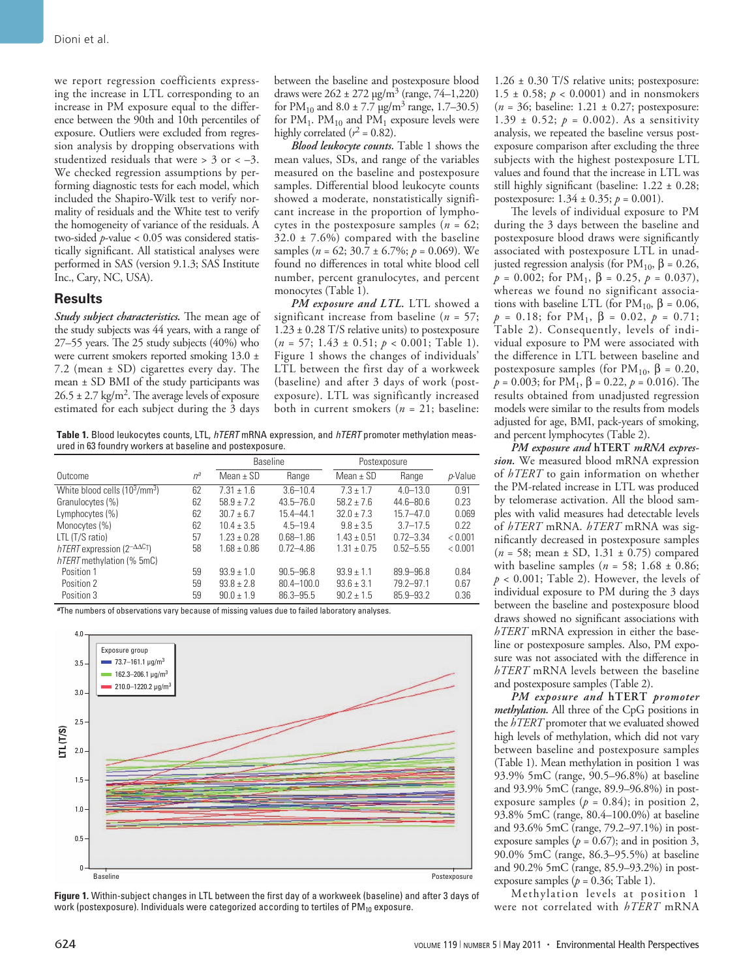we report regression coefficients expressing the increase in LTL corresponding to an increase in PM exposure equal to the difference between the 90th and 10th percentiles of exposure. Outliers were excluded from regression analysis by dropping observations with studentized residuals that were  $>$  3 or  $<-3$ . We checked regression assumptions by performing diagnostic tests for each model, which included the Shapiro-Wilk test to verify normality of residuals and the White test to verify the homogeneity of variance of the residuals. A two-sided *p*-value < 0.05 was considered statistically significant. All statistical analyses were performed in SAS (version 9.1.3; SAS Institute Inc., Cary, NC, USA).

#### **Results**

*Study subject characteristics.* The mean age of the study subjects was 44 years, with a range of 27–55 years. The 25 study subjects (40%) who were current smokers reported smoking 13.0 ± 7.2 (mean ± SD) cigarettes every day. The mean ± SD BMI of the study participants was  $26.5 \pm 2.7$  kg/m<sup>2</sup>. The average levels of exposure estimated for each subject during the 3 days between the baseline and postexposure blood draws were  $262 \pm 272 \,\mathrm{\upmu g/m^3}$  (range, 74–1,220) for  $PM_{10}$  and  $8.0 \pm 7.7$   $\mu$ g/m<sup>3</sup> range, 1.7–30.5) for  $PM_1$ .  $PM_{10}$  and  $PM_1$  exposure levels were highly correlated  $(r^2 = 0.82)$ .

*Blood leukocyte counts.* Table 1 shows the mean values, SDs, and range of the variables measured on the baseline and postexposure samples. Differential blood leukocyte counts showed a moderate, nonstatistically significant increase in the proportion of lymphocytes in the postexposure samples (*n* = 62;  $32.0 \pm 7.6\%$ ) compared with the baseline samples (*n* = 62; 30.7 ± 6.7%; *p* = 0.069). We found no differences in total white blood cell number, percent granulocytes, and percent monocytes (Table 1).

*PM exposure and LTL.* LTL showed a significant increase from baseline (*n* = 57; 1.23 ± 0.28 T/S relative units) to postexposure (*n* = 57; 1.43 ± 0.51; *p* < 0.001; Table 1). Figure 1 shows the changes of individuals' LTL between the first day of a workweek (baseline) and after 3 days of work (postexposure). LTL was significantly increased both in current smokers (*n* = 21; baseline:

**Table 1.** Blood leukocytes counts, LTL, *hTERT* mRNA expression, and *hTERT* promoter methylation measured in 63 foundry workers at baseline and postexposure.

|                                                                 |       | <b>Baseline</b> |                | Postexposure    |               |         |
|-----------------------------------------------------------------|-------|-----------------|----------------|-----------------|---------------|---------|
| Outcome                                                         | $n^a$ | Mean $\pm$ SD   | Range          | Mean $\pm$ SD   | Range         | p-Value |
| White blood cells $(10^3/\text{mm}^3)$                          | 62    | $7.31 \pm 1.6$  | $3.6 - 10.4$   | $7.3 + 1.7$     | $4.0 - 13.0$  | 0.91    |
| Granulocytes (%)                                                | 62    | $58.9 + 7.2$    | $43.5 - 76.0$  | $58.2 + 7.6$    | $44.6 - 80.6$ | 0.23    |
| Lymphocytes (%)                                                 | 62    | $30.7 + 6.7$    | $15.4 - 44.1$  | $32.0 + 7.3$    | $15.7 - 47.0$ | 0.069   |
| Monocytes (%)                                                   | 62    | $10.4 + 3.5$    | $4.5 - 19.4$   | $9.8 \pm 3.5$   | $3.7 - 17.5$  | 0.22    |
| LTL (T/S ratio)                                                 | 57    | $1.23 + 0.28$   | $0.68 - 1.86$  | $1.43 \pm 0.51$ | $0.72 - 3.34$ | < 0.001 |
| $hTERT$ expression (2 <sup><math>-\Delta\Delta</math>C</sup> T) | 58    | $1.68 \pm 0.86$ | $0.72 - 4.86$  | $1.31 \pm 0.75$ | $0.52 - 5.55$ | < 0.001 |
| hTERT methylation (% 5mC)                                       |       |                 |                |                 |               |         |
| Position 1                                                      | 59    | $93.9 \pm 1.0$  | $90.5 - 96.8$  | $93.9 + 1.1$    | $89.9 - 96.8$ | 0.84    |
| Position 2                                                      | 59    | $93.8 + 2.8$    | $80.4 - 100.0$ | $93.6 \pm 3.1$  | $79.2 - 97.1$ | 0.67    |
| Position 3                                                      | 59    | $90.0 \pm 1.9$  | $86.3 - 95.5$  | $90.2 + 1.5$    | 85.9-93.2     | 0.36    |

*<sup>a</sup>*The numbers of observations vary because of missing values due to failed laboratory analyses.



**Figure 1.** Within-subject changes in LTL between the first day of a workweek (baseline) and after 3 days of work (postexposure). Individuals were categorized according to tertiles of  $PM_{10}$  exposure.

1.26 ± 0.30 T/S relative units; postexposure: 1.5  $\pm$  0.58;  $p < 0.0001$ ) and in nonsmokers (*n* = 36; baseline: 1.21 ± 0.27; postexposure: 1.39  $\pm$  0.52;  $p = 0.002$ ). As a sensitivity analysis, we repeated the baseline versus postexposure comparison after excluding the three subjects with the highest postexposure LTL values and found that the increase in LTL was still highly significant (baseline: 1.22 ± 0.28; postexposure:  $1.34 \pm 0.35$ ;  $p = 0.001$ ).

The levels of individual exposure to PM during the 3 days between the baseline and postexposure blood draws were significantly associated with postexposure LTL in unadjusted regression analysis (for PM<sub>10</sub>, β = 0.26, *p* = 0.002; for PM<sub>1</sub>, β = 0.25, *p* = 0.037), whereas we found no significant associations with baseline LTL (for  $PM_{10}$ ,  $\beta = 0.06$ , *p* = 0.18; for PM<sub>1</sub>, β = 0.02, *p* = 0.71; Table 2). Consequently, levels of individual exposure to PM were associated with the difference in LTL between baseline and postexposure samples (for PM<sub>10</sub>,  $β = 0.20$ ,  $p = 0.003$ ; for PM<sub>1</sub>,  $\beta = 0.22$ ,  $p = 0.016$ ). The results obtained from unadjusted regression models were similar to the results from models adjusted for age, BMI, pack-years of smoking, and percent lymphocytes (Table 2).

*PM exposure and* **hTERT** *mRNA expression.* We measured blood mRNA expression of *hTERT* to gain information on whether the PM-related increase in LTL was produced by telomerase activation. All the blood samples with valid measures had detectable levels of *hTERT* mRNA. *hTERT* mRNA was significantly decreased in postexposure samples (*n* = 58; mean ± SD, 1.31 ± 0.75) compared with baseline samples (*n* = 58; 1.68 ± 0.86;  $p < 0.001$ ; Table 2). However, the levels of individual exposure to PM during the 3 days between the baseline and postexposure blood draws showed no significant associations with *hTERT* mRNA expression in either the baseline or postexposure samples. Also, PM exposure was not associated with the difference in *hTERT* mRNA levels between the baseline and postexposure samples (Table 2).

*PM exposure and* **hTERT** *promoter methylation.* All three of the CpG positions in the *hTERT* promoter that we evaluated showed high levels of methylation, which did not vary between baseline and postexposure samples (Table 1). Mean methylation in position 1 was 93.9% 5mC (range, 90.5–96.8%) at baseline and 93.9% 5mC (range, 89.9–96.8%) in postexposure samples ( $p = 0.84$ ); in position 2, 93.8% 5mC (range, 80.4–100.0%) at baseline and 93.6% 5mC (range, 79.2–97.1%) in postexposure samples ( $p = 0.67$ ); and in position 3, 90.0% 5mC (range, 86.3–95.5%) at baseline and 90.2% 5mC (range, 85.9–93.2%) in postexposure samples ( $p = 0.36$ ; Table 1).

Methylation levels at position 1 were not correlated with *hTERT* mRNA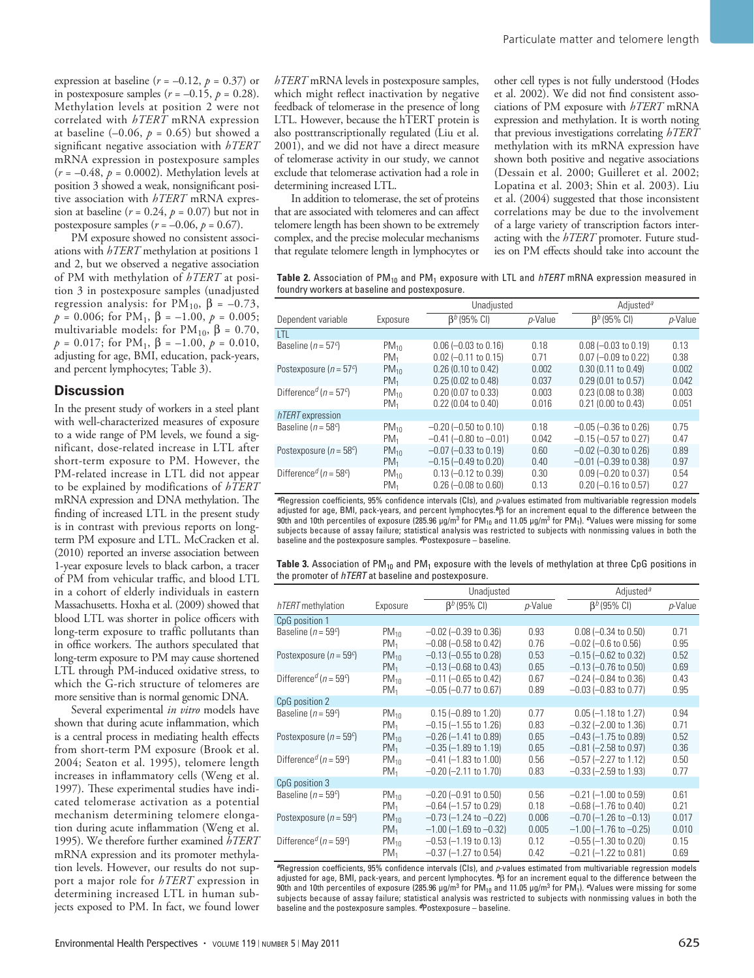expression at baseline  $(r = -0.12, p = 0.37)$  or in postexposure samples  $(r = -0.15, p = 0.28)$ . Methylation levels at position 2 were not correlated with *hTERT* mRNA expression at baseline  $(-0.06, p = 0.65)$  but showed a significant negative association with *hTERT* mRNA expression in postexposure samples (*r* = –0.48, *p* = 0.0002). Methylation levels at position 3 showed a weak, nonsignificant positive association with *hTERT* mRNA expression at baseline  $(r = 0.24, p = 0.07)$  but not in postexposure samples  $(r = -0.06, p = 0.67)$ .

PM exposure showed no consistent associations with *hTERT* methylation at positions 1 and 2, but we observed a negative association of PM with methylation of *hTERT* at position 3 in postexposure samples (unadjusted regression analysis: for  $PM_{10}$ ,  $β = -0.73$ , *p* = 0.006; for PM<sub>1</sub>,  $β$  = -1.00, *p* = 0.005; multivariable models: for  $PM_{10}$ ,  $\beta = 0.70$ ,  $p = 0.017$ ; for PM<sub>1</sub>, β = -1.00,  $p = 0.010$ , adjusting for age, BMI, education, pack-years, and percent lymphocytes; Table 3).

#### **Discussion**

In the present study of workers in a steel plant with well-characterized measures of exposure to a wide range of PM levels, we found a significant, dose-related increase in LTL after short-term exposure to PM. However, the PM-related increase in LTL did not appear to be explained by modifications of *hTERT* mRNA expression and DNA methylation. The finding of increased LTL in the present study is in contrast with previous reports on longterm PM exposure and LTL. McCracken et al. (2010) reported an inverse association between 1-year exposure levels to black carbon, a tracer of PM from vehicular traffic, and blood LTL in a cohort of elderly individuals in eastern Massachusetts. Hoxha et al. (2009) showed that blood LTL was shorter in police officers with long-term exposure to traffic pollutants than in office workers. The authors speculated that long-term exposure to PM may cause shortened LTL through PM-induced oxidative stress, to which the G-rich structure of telomeres are more sensitive than is normal genomic DNA.

Several experimental *in vitro* models have shown that during acute inflammation, which is a central process in mediating health effects from short-term PM exposure (Brook et al. 2004; Seaton et al. 1995), telomere length increases in inflammatory cells (Weng et al. 1997). These experimental studies have indicated telomerase activation as a potential mechanism determining telomere elongation during acute inflammation (Weng et al. 1995). We therefore further examined *hTERT* mRNA expression and its promoter methylation levels. However, our results do not support a major role for *hTERT* expression in determining increased LTL in human subjects exposed to PM. In fact, we found lower

*hTERT* mRNA levels in postexposure samples, which might reflect inactivation by negative feedback of telomerase in the presence of long LTL. However, because the hTERT protein is also posttranscriptionally regulated (Liu et al. 2001), and we did not have a direct measure of telomerase activity in our study, we cannot exclude that telomerase activation had a role in determining increased LTL.

In addition to telomerase, the set of proteins that are associated with telomeres and can affect telomere length has been shown to be extremely complex, and the precise molecular mechanisms that regulate telomere length in lymphocytes or

other cell types is not fully understood (Hodes et al. 2002). We did not find consistent associations of PM exposure with *hTERT* mRNA expression and methylation. It is worth noting that previous investigations correlating *hTERT* methylation with its mRNA expression have shown both positive and negative associations (Dessain et al. 2000; Guilleret et al. 2002; Lopatina et al. 2003; Shin et al. 2003). Liu et al. (2004) suggested that those inconsistent correlations may be due to the involvement of a large variety of transcription factors interacting with the *hTERT* promoter. Future studies on PM effects should take into account the

**Table 2.** Association of PM<sub>10</sub> and PM<sub>1</sub> exposure with LTL and *hTERT* mRNA expression measured in foundry workers at baseline and postexposure.

|                                        |                 | Unadjusted                    |            | Adiusted <sup>a</sup>        |         |
|----------------------------------------|-----------------|-------------------------------|------------|------------------------------|---------|
| Dependent variable                     | Exposure        | $\beta^{b}$ (95% CI)          | $p$ -Value | $\beta^{b}$ (95% CI)         | p-Value |
| <b>LTL</b>                             |                 |                               |            |                              |         |
| Baseline $(n = 57c)$                   | $PM_{10}$       | $0.06$ (-0.03 to 0.16)        | 0.18       | $0.08$ (-0.03 to 0.19)       | 0.13    |
|                                        | $PM_1$          | $0.02$ (-0.11 to 0.15)        | 0.71       | $0.07$ (-0.09 to 0.22)       | 0.38    |
| Postexposure ( $n = 57^c$ )            | $PM_{10}$       | 0.26 (0.10 to 0.42)           | 0.002      | 0.30 (0.11 to 0.49)          | 0.002   |
|                                        | PM <sub>1</sub> | 0.25 (0.02 to 0.48)           | 0.037      | 0.29 (0.01 to 0.57)          | 0.042   |
| Difference <sup>d</sup> ( $n = 57c$ )  | $PM_{10}$       | 0.20 (0.07 to 0.33)           | 0.003      | 0.23 (0.08 to 0.38)          | 0.003   |
|                                        | $PM_1$          | 0.22 (0.04 to 0.40)           | 0.016      | 0.21 (0.00 to 0.43)          | 0.051   |
| hTERT expression                       |                 |                               |            |                              |         |
| Baseline ( $n = 58^{\circ}$ )          | $PM_{10}$       | $-0.20$ $(-0.50$ to $0.10$    | 0.18       | $-0.05$ $(-0.36$ to 0.26)    | 0.75    |
|                                        | $PM_1$          | $-0.41$ $(-0.80$ to $-0.01$ ) | 0.042      | $-0.15$ $(-0.57$ to 0.27)    | 0.47    |
| Postexposure ( $n = 58^c$ )            | $PM_{10}$       | $-0.07$ $(-0.33$ to 0.19)     | 0.60       | $-0.02$ $(-0.30$ to 0.26)    | 0.89    |
|                                        | $PM_1$          | $-0.15$ $(-0.49$ to 0.20)     | 0.40       | $-0.01$ $(-0.39$ to $0.38$ ) | 0.97    |
| Difference <sup>d</sup> ( $n = 58^c$ ) | $PM_{10}$       | $0.13$ (-0.12 to 0.39)        | 0.30       | $0.09$ (-0.20 to 0.37)       | 0.54    |
|                                        | $PM_1$          | $0.26$ (-0.08 to 0.60)        | 0.13       | $0.20$ (-0.16 to 0.57)       | 0.27    |

*<sup>a</sup>*Regression coefficients, 95% confidence intervals (CIs), and *p*-values estimated from multivariable regression models adjusted for age, BMI, pack-years, and percent lymphocytes.*b*β for an increment equal to the difference between the 90th and 10th percentiles of exposure (285.96 μg/m<sup>3</sup> for PM<sub>10</sub> and 11.05 μg/m<sup>3</sup> for PM<sub>1</sub>). *©*Values were missing for some subjects because of assay failure; statistical analysis was restricted to subjects with nonmissing values in both the baseline and the postexposure samples. *d*Postexposure – baseline.

| <b>Table 3.</b> Association of $PM_{10}$ and $PM_1$ exposure with the levels of methylation at three CpG positions in |  |
|-----------------------------------------------------------------------------------------------------------------------|--|
| the promoter of <i>hTERT</i> at baseline and postexposure.                                                            |  |

|                                        |                 | Unadjusted                      |         | Adjusted <sup>a</sup>       |         |
|----------------------------------------|-----------------|---------------------------------|---------|-----------------------------|---------|
| hTERT methylation                      | Exposure        | $\beta^{b}$ (95% CI)            | p-Value | $\beta^{b}$ (95% CI)        | p-Value |
| CpG position 1                         |                 |                                 |         |                             |         |
| Baseline ( $n = 59^{\circ}$ )          | $PM_{10}$       | $-0.02$ ( $-0.39$ to 0.36)      | 0.93    | $0.08 (-0.34$ to $0.50)$    | 0.71    |
|                                        | $PM_1$          | $-0.08$ ( $-0.58$ to 0.42)      | 0.76    | $-0.02$ ( $-0.6$ to 0.56)   | 0.95    |
| Postexposure ( $n = 59c$ )             | $PM_{10}$       | $-0.13$ ( $-0.55$ to 0.28)      | 0.53    | $-0.15$ $(-0.62$ to $0.32)$ | 0.52    |
|                                        | $PM_1$          | $-0.13$ ( $-0.68$ to 0.43)      | 0.65    | $-0.13$ ( $-0.76$ to 0.50)  | 0.69    |
| Difference <sup>d</sup> ( $n = 59c$ )  | $PM_{10}$       | $-0.11$ ( $-0.65$ to 0.42)      | 0.67    | $-0.24$ ( $-0.84$ to 0.36)  | 0.43    |
|                                        | PM <sub>1</sub> | $-0.05$ ( $-0.77$ to 0.67)      | 0.89    | $-0.03$ ( $-0.83$ to 0.77)  | 0.95    |
| CpG position 2                         |                 |                                 |         |                             |         |
| Baseline ( $n = 59^{\circ}$ )          | $PM_{10}$       | $0.15 (-0.89 \text{ to } 1.20)$ | 0.77    | $0.05$ (-1.18 to 1.27)      | 0.94    |
|                                        | $PM_1$          | $-0.15$ ( $-1.55$ to 1.26)      | 0.83    | $-0.32$ ( $-2.00$ to 1.36)  | 0.71    |
| Postexposure ( $n = 59c$ )             | $PM_{10}$       | $-0.26$ ( $-1.41$ to 0.89)      | 0.65    | $-0.43$ ( $-1.75$ to 0.89)  | 0.52    |
|                                        | $PM_1$          | $-0.35$ ( $-1.89$ to 1.19)      | 0.65    | $-0.81$ ( $-2.58$ to 0.97)  | 0.36    |
| Difference <sup>d</sup> ( $n = 59^c$ ) | $PM_{10}$       | $-0.41$ $(-1.83$ to $1.00)$     | 0.56    | $-0.57$ $(-2.27$ to 1.12)   | 0.50    |
|                                        | $PM_1$          | $-0.20$ ( $-2.11$ to 1.70)      | 0.83    | $-0.33$ ( $-2.59$ to 1.93)  | 0.77    |
| CpG position 3                         |                 |                                 |         |                             |         |
| Baseline ( $n = 59^c$ )                | $PM_{10}$       | $-0.20$ ( $-0.91$ to 0.50)      | 0.56    | $-0.21$ (-1.00 to 0.59)     | 0.61    |
|                                        | $PM_1$          | $-0.64$ ( $-1.57$ to 0.29)      | 0.18    | $-0.68$ ( $-1.76$ to 0.40)  | 0.21    |
| Postexposure ( $n = 59c$ )             | $PM_{10}$       | $-0.73$ ( $-1.24$ to $-0.22$ )  | 0.006   | $-0.70$ (-1.26 to $-0.13$ ) | 0.017   |
|                                        | PM <sub>1</sub> | $-1.00$ (-1.69 to $-0.32$ )     | 0.005   | $-1.00$ (-1.76 to $-0.25$ ) | 0.010   |
| Difference <sup>d</sup> ( $n = 59c$ )  | $PM_{10}$       | $-0.53$ $(-1.19$ to 0.13)       | 0.12    | $-0.55$ ( $-1.30$ to 0.20)  | 0.15    |
|                                        | PM <sub>1</sub> | $-0.37$ ( $-1.27$ to 0.54)      | 0.42    | $-0.21$ (-1.22 to 0.81)     | 0.69    |

*<sup>a</sup>*Regression coefficients, 95% confidence intervals (CIs), and *p*-values estimated from multivariable regression models adjusted for age, BMI, pack-years, and percent lymphocytes. *b*β for an increment equal to the difference between the 90th and 10th percentiles of exposure (285.96 μg/m<sup>3</sup> for PM<sub>10</sub> and 11.05 μg/m<sup>3</sup> for PM<sub>1</sub>). *<sup>c</sup>*Values were missing for some subjects because of assay failure; statistical analysis was restricted to subjects with nonmissing values in both the baseline and the postexposure samples. *d*Postexposure – baseline.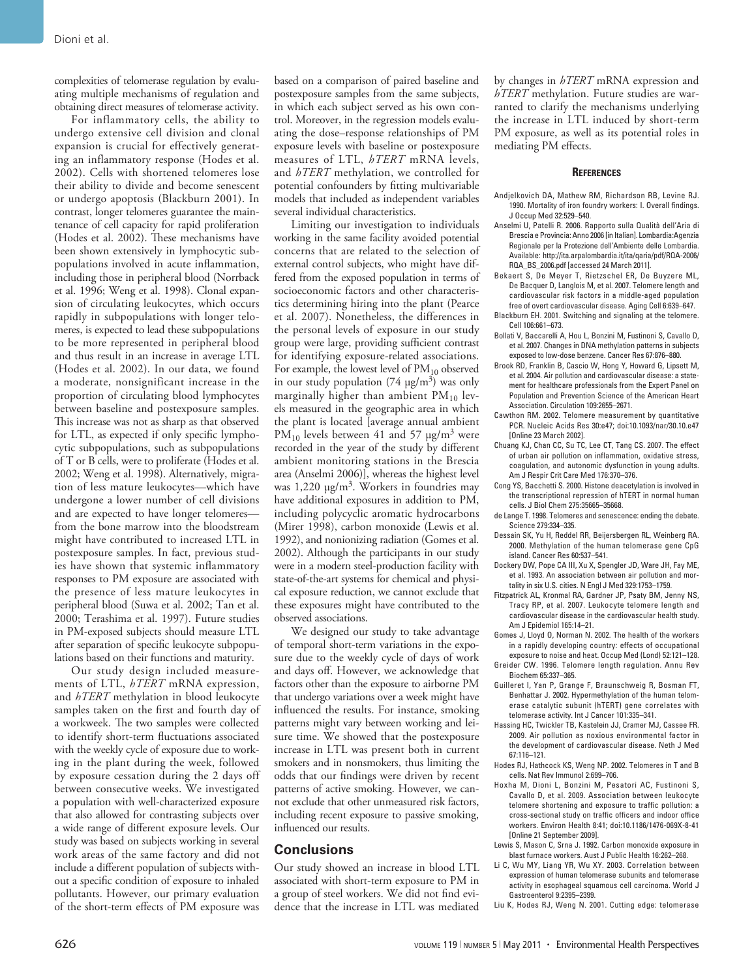complexities of telomerase regulation by evaluating multiple mechanisms of regulation and obtaining direct measures of telomerase activity.

For inflammatory cells, the ability to undergo extensive cell division and clonal expansion is crucial for effectively generating an inflammatory response (Hodes et al. 2002). Cells with shortened telomeres lose their ability to divide and become senescent or undergo apoptosis (Blackburn 2001). In contrast, longer telomeres guarantee the maintenance of cell capacity for rapid proliferation (Hodes et al. 2002). These mechanisms have been shown extensively in lymphocytic subpopulations involved in acute inflammation, including those in peripheral blood (Norrback et al. 1996; Weng et al. 1998). Clonal expansion of circulating leukocytes, which occurs rapidly in subpopulations with longer telomeres, is expected to lead these subpopulations to be more represented in peripheral blood and thus result in an increase in average LTL (Hodes et al. 2002). In our data, we found a moderate, nonsignificant increase in the proportion of circulating blood lymphocytes between baseline and postexposure samples. This increase was not as sharp as that observed for LTL, as expected if only specific lymphocytic subpopulations, such as subpopulations of T or B cells, were to proliferate (Hodes et al. 2002; Weng et al. 1998). Alternatively, migration of less mature leukocytes—which have undergone a lower number of cell divisions and are expected to have longer telomeres from the bone marrow into the bloodstream might have contributed to increased LTL in postexposure samples. In fact, previous studies have shown that systemic inflammatory responses to PM exposure are associated with the presence of less mature leukocytes in peripheral blood (Suwa et al. 2002; Tan et al. 2000; Terashima et al. 1997). Future studies in PM-exposed subjects should measure LTL after separation of specific leukocyte subpopulations based on their functions and maturity.

Our study design included measurements of LTL, *hTERT* mRNA expression, and *hTERT* methylation in blood leukocyte samples taken on the first and fourth day of a workweek. The two samples were collected to identify short-term fluctuations associated with the weekly cycle of exposure due to working in the plant during the week, followed by exposure cessation during the 2 days off between consecutive weeks. We investigated a population with well-characterized exposure that also allowed for contrasting subjects over a wide range of different exposure levels. Our study was based on subjects working in several work areas of the same factory and did not include a different population of subjects without a specific condition of exposure to inhaled pollutants. However, our primary evaluation of the short-term effects of PM exposure was

based on a comparison of paired baseline and postexposure samples from the same subjects, in which each subject served as his own control. Moreover, in the regression models evaluating the dose–response relationships of PM exposure levels with baseline or postexposure measures of LTL, *hTERT* mRNA levels, and *hTERT* methylation, we controlled for potential confounders by fitting multivariable models that included as independent variables several individual characteristics.

Limiting our investigation to individuals working in the same facility avoided potential concerns that are related to the selection of external control subjects, who might have differed from the exposed population in terms of socioeconomic factors and other characteristics determining hiring into the plant (Pearce et al. 2007). Nonetheless, the differences in the personal levels of exposure in our study group were large, providing sufficient contrast for identifying exposure-related associations. For example, the lowest level of  $PM_{10}$  observed in our study population  $(74 \text{ µg/m}^3)$  was only marginally higher than ambient  $PM_{10}$  levels measured in the geographic area in which the plant is located [average annual ambient PM<sub>10</sub> levels between 41 and 57  $\mu$ g/m<sup>3</sup> were recorded in the year of the study by different ambient monitoring stations in the Brescia area (Anselmi 2006)], whereas the highest level was 1,220 μg/m3. Workers in foundries may have additional exposures in addition to PM, including polycyclic aromatic hydrocarbons (Mirer 1998), carbon monoxide (Lewis et al. 1992), and nonionizing radiation (Gomes et al. 2002). Although the participants in our study were in a modern steel-production facility with state-of-the-art systems for chemical and physical exposure reduction, we cannot exclude that these exposures might have contributed to the observed associations.

We designed our study to take advantage of temporal short-term variations in the exposure due to the weekly cycle of days of work and days off. However, we acknowledge that factors other than the exposure to airborne PM that undergo variations over a week might have influenced the results. For instance, smoking patterns might vary between working and leisure time. We showed that the postexposure increase in LTL was present both in current smokers and in nonsmokers, thus limiting the odds that our findings were driven by recent patterns of active smoking. However, we cannot exclude that other unmeasured risk factors, including recent exposure to passive smoking, influenced our results.

#### **Conclusions**

Our study showed an increase in blood LTL associated with short-term exposure to PM in a group of steel workers. We did not find evidence that the increase in LTL was mediated by changes in *hTERT* mRNA expression and *hTERT* methylation. Future studies are warranted to clarify the mechanisms underlying the increase in LTL induced by short-term PM exposure, as well as its potential roles in mediating PM effects.

#### **References**

- Andjelkovich DA, Mathew RM, Richardson RB, Levine RJ. 1990. Mortality of iron foundry workers: I. Overall findings. J Occup Med 32:529–540.
- Anselmi U, Patelli R. 2006. Rapporto sulla Qualità dell'Aria di Brescia e Provincia: Anno 2006 [in Italian]. Lombardia:Agenzia Regionale per la Protezione dell'Ambiente delle Lombardia. Available: http://ita.arpalombardia.it/ita/qaria/pdf/RQA-2006/ RQA\_BS\_2006.pdf [accessed 24 March 2011].
- Bekaert S, De Meyer T, Rietzschel ER, De Buyzere ML, De Bacquer D, Langlois M, et al. 2007. Telomere length and cardiovascular risk factors in a middle-aged population free of overt cardiovascular disease. Aging Cell 6:639–647.
- Blackburn EH. 2001. Switching and signaling at the telomere. Cell 106:661–673.
- Bollati V, Baccarelli A, Hou L, Bonzini M, Fustinoni S, Cavallo D, et al. 2007. Changes in DNA methylation patterns in subjects exposed to low-dose benzene. Cancer Res 67:876–880.
- Brook RD, Franklin B, Cascio W, Hong Y, Howard G, Lipsett M, et al. 2004. Air pollution and cardiovascular disease: a statement for healthcare professionals from the Expert Panel on Population and Prevention Science of the American Heart Association. Circulation 109:2655–2671.
- Cawthon RM. 2002. Telomere measurement by quantitative PCR. Nucleic Acids Res 30:e47; doi:10.1093/nar/30.10.e47 [Online 23 March 2002].
- Chuang KJ, Chan CC, Su TC, Lee CT, Tang CS. 2007. The effect of urban air pollution on inflammation, oxidative stress, coagulation, and autonomic dysfunction in young adults. Am J Respir Crit Care Med 176:370–376.
- Cong YS, Bacchetti S. 2000. Histone deacetylation is involved in the transcriptional repression of hTERT in normal human cells. J Biol Chem 275:35665–35668.
- de Lange T. 1998. Telomeres and senescence: ending the debate. Science 279:334–335.
- Dessain SK, Yu H, Reddel RR, Beijersbergen RL, Weinberg RA. 2000. Methylation of the human telomerase gene CpG island. Cancer Res 60:537–541.
- Dockery DW, Pope CA III, Xu X, Spengler JD, Ware JH, Fay ME, et al. 1993. An association between air pollution and mortality in six U.S. cities. N Engl J Med 329:1753–1759.
- Fitzpatrick AL, Kronmal RA, Gardner JP, Psaty BM, Jenny NS, Tracy RP, et al. 2007. Leukocyte telomere length and cardiovascular disease in the cardiovascular health study. Am J Epidemiol 165:14–21.
- Gomes J, Lloyd O, Norman N. 2002. The health of the workers in a rapidly developing country: effects of occupational
- exposure to noise and heat. Occup Med (Lond) 52:121–128. Greider CW. 1996. Telomere length regulation. Annu Rev Biochem 65:337–365.
- Guilleret I, Yan P, Grange F, Braunschweig R, Bosman FT, Benhattar J. 2002. Hypermethylation of the human telomerase catalytic subunit (hTERT) gene correlates with telomerase activity. Int J Cancer 101:335–341.
- Hassing HC, Twickler TB, Kastelein JJ, Cramer MJ, Cassee FR. 2009. Air pollution as noxious environmental factor in the development of cardiovascular disease. Neth J Med 67:116–121.
- Hodes RJ, Hathcock KS, Weng NP. 2002. Telomeres in T and B cells. Nat Rev Immunol 2:699–706.
- Hoxha M, Dioni L, Bonzini M, Pesatori AC, Fustinoni S, Cavallo D, et al. 2009. Association between leukocyte telomere shortening and exposure to traffic pollution: a cross-sectional study on traffic officers and indoor office workers. Environ Health 8:41; doi:10.1186/1476-069X-8-41 [Online 21 September 2009].
- Lewis S, Mason C, Srna J. 1992. Carbon monoxide exposure in blast furnace workers. Aust J Public Health 16:262–268.
- Li C, Wu MY, Liang YR, Wu XY. 2003. Correlation between expression of human telomerase subunits and telomerase activity in esophageal squamous cell carcinoma. World J Gastroenterol 9:2395–2399.
- Liu K, Hodes RJ, Weng N. 2001. Cutting edge: telomerase